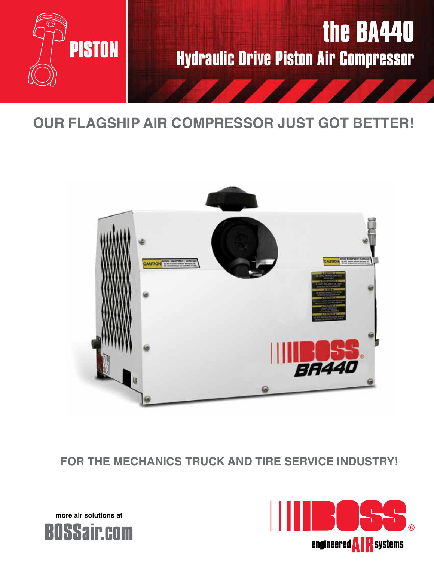

# **OUR FLAGSHIP AIR COMPRESSOR JUST GOT BETTER!**



**FOR THE MECHANICS TRUCK AND TIRE SERVICE INDUSTRY!**